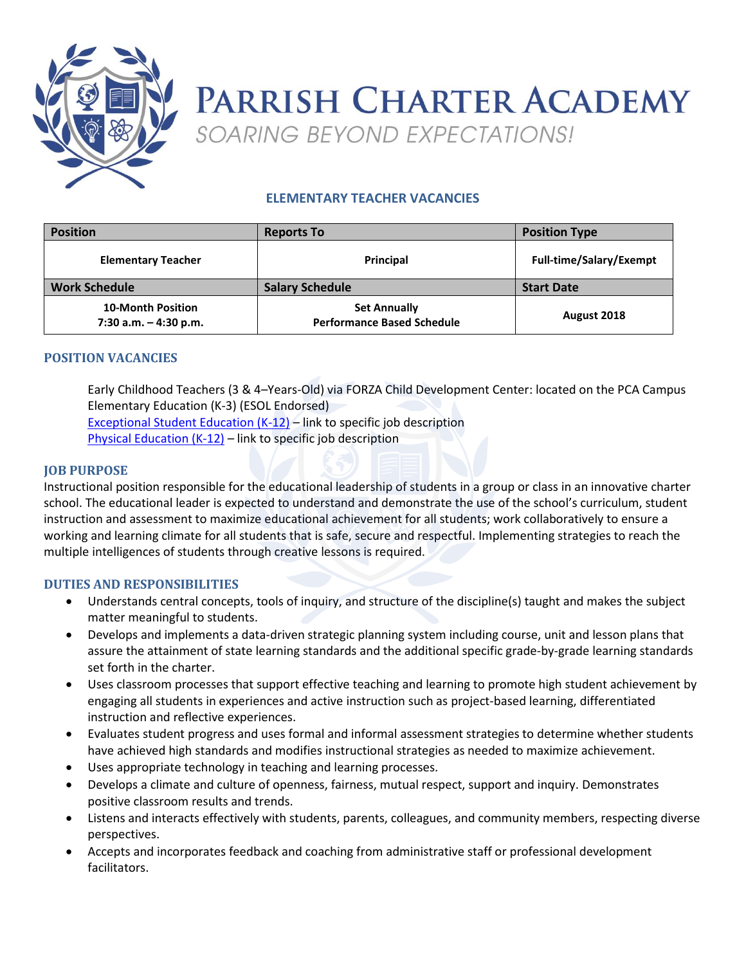

# **ELEMENTARY TEACHER VACANCIES**

| <b>Position</b>                                     | <b>Reports To</b>                                        | <b>Position Type</b>           |
|-----------------------------------------------------|----------------------------------------------------------|--------------------------------|
| <b>Elementary Teacher</b>                           | Principal                                                | <b>Full-time/Salary/Exempt</b> |
| <b>Work Schedule</b>                                | <b>Salary Schedule</b>                                   | <b>Start Date</b>              |
| <b>10-Month Position</b><br>7:30 a.m. $-$ 4:30 p.m. | <b>Set Annually</b><br><b>Performance Based Schedule</b> | August 2018                    |

### **POSITION VACANCIES**

Early Childhood Teachers (3 & 4–Years-Old) via FORZA Child Development Center: located on the PCA Campus Elementary Education (K-3) (ESOL Endorsed)

[Exceptional Student Education \(K-12\)](https://documentcloud.adobe.com/link/track?uri=urn%3Aaaid%3Ascds%3AUS%3A679c881d-b265-4570-b1c7-a592e4607ce8) – link to specific job description [Physical Education \(K-12\)](https://documentcloud.adobe.com/link/track?uri=urn%3Aaaid%3Ascds%3AUS%3A61fc4e51-f808-44d5-96b9-2209b3ff9a3b) – link to specific job description

#### **JOB PURPOSE**

Instructional position responsible for the educational leadership of students in a group or class in an innovative charter school. The educational leader is expected to understand and demonstrate the use of the school's curriculum, student instruction and assessment to maximize educational achievement for all students; work collaboratively to ensure a working and learning climate for all students that is safe, secure and respectful. Implementing strategies to reach the multiple intelligences of students through creative lessons is required.

#### **DUTIES AND RESPONSIBILITIES**

- Understands central concepts, tools of inquiry, and structure of the discipline(s) taught and makes the subject matter meaningful to students.
- Develops and implements a data-driven strategic planning system including course, unit and lesson plans that assure the attainment of state learning standards and the additional specific grade-by-grade learning standards set forth in the charter.
- Uses classroom processes that support effective teaching and learning to promote high student achievement by engaging all students in experiences and active instruction such as project-based learning, differentiated instruction and reflective experiences.
- Evaluates student progress and uses formal and informal assessment strategies to determine whether students have achieved high standards and modifies instructional strategies as needed to maximize achievement.
- Uses appropriate technology in teaching and learning processes.
- Develops a climate and culture of openness, fairness, mutual respect, support and inquiry. Demonstrates positive classroom results and trends.
- Listens and interacts effectively with students, parents, colleagues, and community members, respecting diverse perspectives.
- Accepts and incorporates feedback and coaching from administrative staff or professional development facilitators.